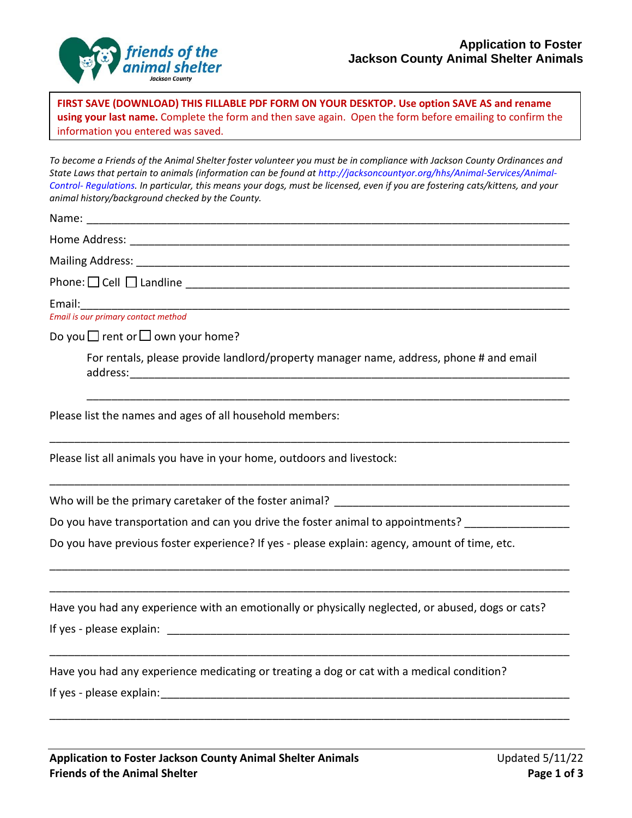

**FIRST SAVE (DOWNLOAD) THIS FILLABLE PDF FORM ON YOUR DESKTOP. Use option SAVE AS and rename using your last name.** Complete the form and then save again. Open the form before emailing to confirm the information you entered was saved.

*To become a Friends of the Animal Shelter foster volunteer you must be in compliance with Jackson County Ordinances and State Laws that pertain to animals (information can be found at http://jacksoncountyor.org/hhs/Animal‐Services/Animal‐ Control‐ Regulations. In particular, this means your dogs, must be licensed, even if you are fostering cats/kittens, and your animal history/background checked by the County.*

| Email is our primary contact method                                                                                                                                                                                           |  |  |
|-------------------------------------------------------------------------------------------------------------------------------------------------------------------------------------------------------------------------------|--|--|
| Do you $\Box$ rent or $\Box$ own your home?                                                                                                                                                                                   |  |  |
| For rentals, please provide landlord/property manager name, address, phone # and email                                                                                                                                        |  |  |
| Please list the names and ages of all household members:                                                                                                                                                                      |  |  |
| Please list all animals you have in your home, outdoors and livestock:                                                                                                                                                        |  |  |
|                                                                                                                                                                                                                               |  |  |
| Do you have transportation and can you drive the foster animal to appointments? ___________________                                                                                                                           |  |  |
| Do you have previous foster experience? If yes - please explain: agency, amount of time, etc.                                                                                                                                 |  |  |
|                                                                                                                                                                                                                               |  |  |
| Have you had any experience with an emotionally or physically neglected, or abused, dogs or cats?                                                                                                                             |  |  |
|                                                                                                                                                                                                                               |  |  |
| Have you had any experience medicating or treating a dog or cat with a medical condition?                                                                                                                                     |  |  |
| If yes - please explain: The same state of the state of the state of the state of the state of the state of the state of the state of the state of the state of the state of the state of the state of the state of the state |  |  |
|                                                                                                                                                                                                                               |  |  |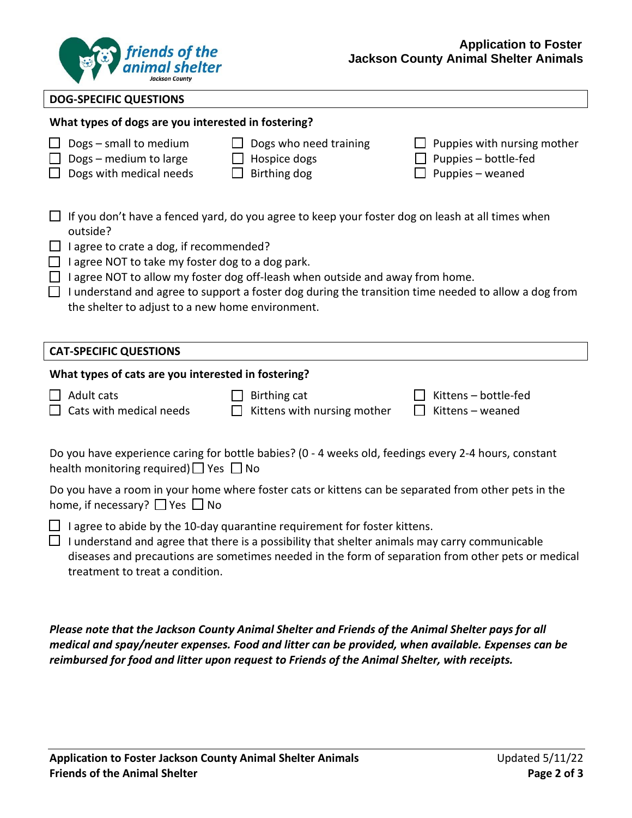

#### **DOG-SPECIFIC QUESTIONS**

## **What types of dogs are you interested in fostering?**

|                                                     | Dogs - small to medium<br>$\Box$ Dogs – medium to large<br>$\Box$ Dogs with medical needs                                                                                                                                                                                                                                                                                                                                                                              | Dogs who need training<br>Hospice dogs<br>Birthing dog                                                | $\Box$ Puppies with nursing mother<br>Puppies - bottle-fed<br>Puppies - weaned |  |  |  |  |
|-----------------------------------------------------|------------------------------------------------------------------------------------------------------------------------------------------------------------------------------------------------------------------------------------------------------------------------------------------------------------------------------------------------------------------------------------------------------------------------------------------------------------------------|-------------------------------------------------------------------------------------------------------|--------------------------------------------------------------------------------|--|--|--|--|
| $\Box$                                              | If you don't have a fenced yard, do you agree to keep your foster dog on leash at all times when<br>outside?<br>I agree to crate a dog, if recommended?<br>I agree NOT to take my foster dog to a dog park.<br>$\Box$ I agree NOT to allow my foster dog off-leash when outside and away from home.<br>$\Box$ I understand and agree to support a foster dog during the transition time needed to allow a dog from<br>the shelter to adjust to a new home environment. |                                                                                                       |                                                                                |  |  |  |  |
|                                                     | <b>CAT-SPECIFIC QUESTIONS</b>                                                                                                                                                                                                                                                                                                                                                                                                                                          |                                                                                                       |                                                                                |  |  |  |  |
| What types of cats are you interested in fostering? |                                                                                                                                                                                                                                                                                                                                                                                                                                                                        |                                                                                                       |                                                                                |  |  |  |  |
|                                                     |                                                                                                                                                                                                                                                                                                                                                                                                                                                                        |                                                                                                       |                                                                                |  |  |  |  |
|                                                     | Adult cats<br>Cats with medical needs                                                                                                                                                                                                                                                                                                                                                                                                                                  | Birthing cat<br>Kittens with nursing mother                                                           | Kittens-bottle-fed<br>Kittens - weaned                                         |  |  |  |  |
|                                                     | health monitoring required) $\Box$ Yes $\Box$ No                                                                                                                                                                                                                                                                                                                                                                                                                       | Do you have experience caring for bottle babies? (0 - 4 weeks old, feedings every 2-4 hours, constant |                                                                                |  |  |  |  |
|                                                     | home, if necessary? $\Box$ Yes $\Box$ No                                                                                                                                                                                                                                                                                                                                                                                                                               | Do you have a room in your home where foster cats or kittens can be separated from other pets in the  |                                                                                |  |  |  |  |

*Please note that the Jackson County Animal Shelter and Friends of the Animal Shelter pays for all medical and spay/neuter expenses. Food and litter can be provided, when available. Expenses can be reimbursed for food and litter upon request to Friends of the Animal Shelter, with receipts.*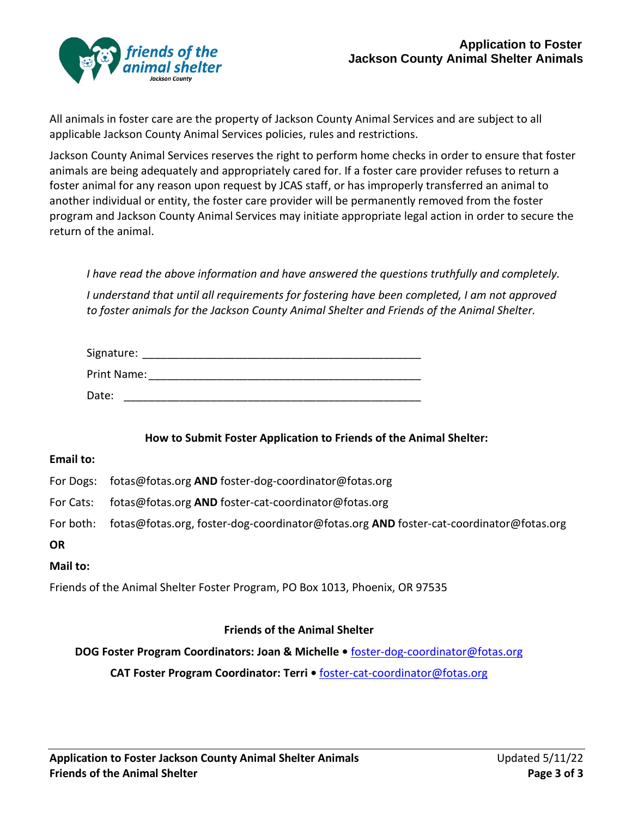

All animals in foster care are the property of Jackson County Animal Services and are subject to all applicable Jackson County Animal Services policies, rules and restrictions.

Jackson County Animal Services reserves the right to perform home checks in order to ensure that foster animals are being adequately and appropriately cared for. If a foster care provider refuses to return a foster animal for any reason upon request by JCAS staff, or has improperly transferred an animal to another individual or entity, the foster care provider will be permanently removed from the foster program and Jackson County Animal Services may initiate appropriate legal action in order to secure the return of the animal.

*I have read the above information and have answered the questions truthfully and completely. I understand that until all requirements for fostering have been completed, I am not approved to foster animals for the Jackson County Animal Shelter and Friends of the Animal Shelter.*

| Signature:  |  |
|-------------|--|
| Print Name: |  |
| Date:       |  |

**How to Submit Foster Application to Friends of the Animal Shelter:**

#### **Email to:**

For Dogs: fotas@fotas.org **AND** foster-dog-coordinator@fotas.org

- For Cats: fotas@fotas.org **AND** foster-cat-coordinator@fotas.org
- For both: fotas@fotas.org, foster-dog-coordinator@fotas.org **AND** foster-cat-coordinator@fotas.org

#### **OR**

## **Mail to:**

Friends of the Animal Shelter Foster Program, PO Box 1013, Phoenix, OR 97535

## **Friends of the Animal Shelter**

**DOG Foster Program Coordinators: Joan & Michelle •** foster-dog-coordinator@fotas.org

**CAT Foster Program Coordinator: Terri •** foster-cat-coordinator@fotas.org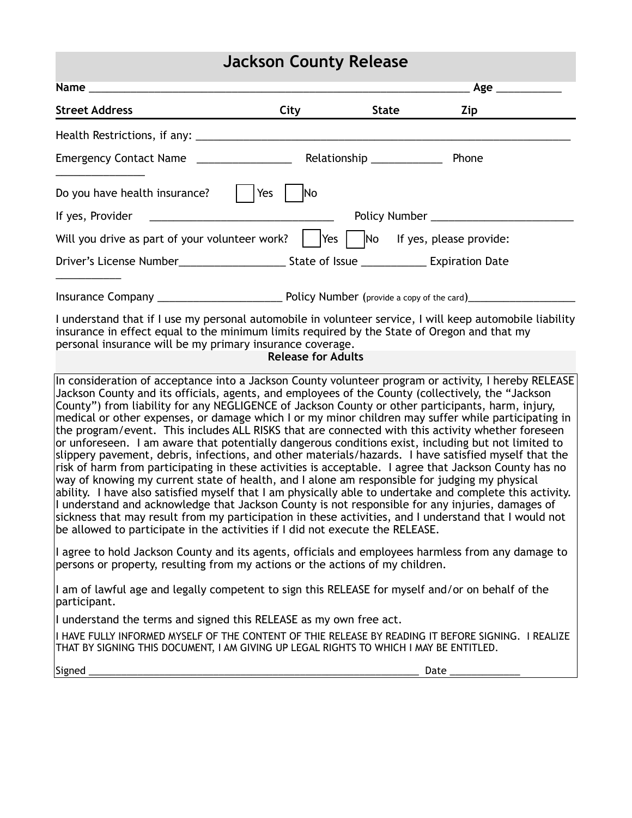## **Jackson County Release**

|                                                                                                                                                                                                                                                                                                                                                                                                                                                                                                                                                                                                                                         |                           |       | Age   |  |  |  |
|-----------------------------------------------------------------------------------------------------------------------------------------------------------------------------------------------------------------------------------------------------------------------------------------------------------------------------------------------------------------------------------------------------------------------------------------------------------------------------------------------------------------------------------------------------------------------------------------------------------------------------------------|---------------------------|-------|-------|--|--|--|
| <b>Street Address</b>                                                                                                                                                                                                                                                                                                                                                                                                                                                                                                                                                                                                                   | City                      | State | Zip   |  |  |  |
|                                                                                                                                                                                                                                                                                                                                                                                                                                                                                                                                                                                                                                         |                           |       |       |  |  |  |
|                                                                                                                                                                                                                                                                                                                                                                                                                                                                                                                                                                                                                                         |                           |       | Phone |  |  |  |
| Do you have health insurance?                                                                                                                                                                                                                                                                                                                                                                                                                                                                                                                                                                                                           | Yes<br><b>No</b>          |       |       |  |  |  |
|                                                                                                                                                                                                                                                                                                                                                                                                                                                                                                                                                                                                                                         |                           |       |       |  |  |  |
| Will you drive as part of your volunteer work? $\parallel$ Yes $\parallel$ No If yes, please provide:                                                                                                                                                                                                                                                                                                                                                                                                                                                                                                                                   |                           |       |       |  |  |  |
|                                                                                                                                                                                                                                                                                                                                                                                                                                                                                                                                                                                                                                         |                           |       |       |  |  |  |
|                                                                                                                                                                                                                                                                                                                                                                                                                                                                                                                                                                                                                                         |                           |       |       |  |  |  |
| I understand that if I use my personal automobile in volunteer service, I will keep automobile liability<br>insurance in effect equal to the minimum limits required by the State of Oregon and that my<br>personal insurance will be my primary insurance coverage.                                                                                                                                                                                                                                                                                                                                                                    | <b>Release for Adults</b> |       |       |  |  |  |
| In consideration of acceptance into a Jackson County volunteer program or activity, I hereby RELEASE<br>Jackson County and its officials, agents, and employees of the County (collectively, the "Jackson<br>County") from liability for any NEGLIGENCE of Jackson County or other participants, harm, injury,<br>medical or other expenses, or damage which I or my minor children may suffer while participating in<br>the program/event. This includes ALL RISKS that are connected with this activity whether foreseen<br>$\alpha$ unforeseen. I am aware that potentially dangerous conditions exist, including but not limited to |                           |       |       |  |  |  |

 $\mathfrak m$ ior eseen. I am aware that potentially dangerous conditions exist, including but not limited to  $\mathfrak m$ slippery pavement, debris, infections, and other materials/hazards. I have satisfied myself that the risk of harm from participating in these activities is acceptable. I agree that Jackson County has no way of knowing my current state of health, and I alone am responsible for judging my physical ability. I have also satisfied myself that I am physically able to undertake and complete this activity. I understand and acknowledge that Jackson County is not responsible for any injuries, damages of sickness that may result from my participation in these activities, and I understand that I would not be allowed to participate in the activities if I did not execute the RELEASE.

I agree to hold Jackson County and its agents, officials and employees harmless from any damage to persons or property, resulting from my actions or the actions of my children.

I am of lawful age and legally competent to sign this RELEASE for myself and/or on behalf of the participant.

I understand the terms and signed this RELEASE as my own free act.

I HAVE FULLY INFORMED MYSELF OF THE CONTENT OF THIE RELEASE BY READING IT BEFORE SIGNING. I REALIZE THAT BY SIGNING THIS DOCUMENT, I AM GIVING UP LEGAL RIGHTS TO WHICH I MAY BE ENTITLED.

Signed \_\_\_\_\_\_\_\_\_\_\_\_\_\_\_\_\_\_\_\_\_\_\_\_\_\_\_\_\_\_\_\_\_\_\_\_\_\_\_\_\_\_\_\_\_\_\_\_\_\_\_\_\_\_\_\_\_\_\_\_\_ Date \_\_\_\_\_\_\_\_\_\_\_\_\_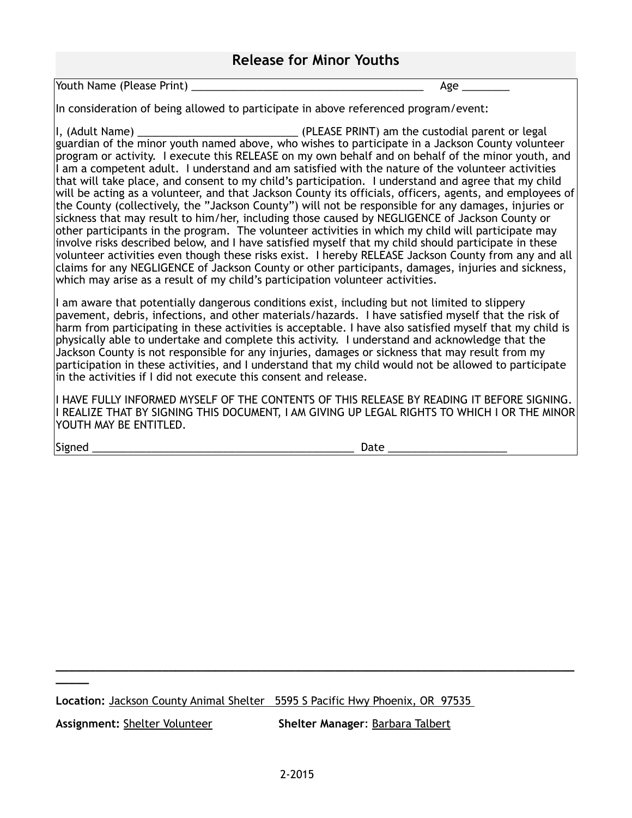## **Release for Minor Youths**

Youth Name (Please Print) **We are all the set of the set of the set of the set of the set of the set of the set o** 

In consideration of being allowed to participate in above referenced program/event:

I, (Adult Name) \_\_\_\_\_\_\_\_\_\_\_\_\_\_\_\_\_\_\_\_\_\_\_\_\_\_\_ (PLEASE PRINT) am the custodial parent or legal guardian of the minor youth named above, who wishes to participate in a Jackson County volunteer program or activity. I execute this RELEASE on my own behalf and on behalf of the minor youth, and I am a competent adult. I understand and am satisfied with the nature of the volunteer activities that will take place, and consent to my child's participation. I understand and agree that my child will be acting as a volunteer, and that Jackson County its officials, officers, agents, and employees of the County (collectively, the "Jackson County") will not be responsible for any damages, injuries or sickness that may result to him/her, including those caused by NEGLIGENCE of Jackson County or other participants in the program. The volunteer activities in which my child will participate may involve risks described below, and I have satisfied myself that my child should participate in these volunteer activities even though these risks exist. I hereby RELEASE Jackson County from any and all claims for any NEGLIGENCE of Jackson County or other participants, damages, injuries and sickness, which may arise as a result of my child's participation volunteer activities.

I am aware that potentially dangerous conditions exist, including but not limited to slippery pavement, debris, infections, and other materials/hazards. I have satisfied myself that the risk of harm from participating in these activities is acceptable. I have also satisfied myself that my child is physically able to undertake and complete this activity. I understand and acknowledge that the Jackson County is not responsible for any injuries, damages or sickness that may result from my participation in these activities, and I understand that my child would not be allowed to participate in the activities if I did not execute this consent and release.

I HAVE FULLY INFORMED MYSELF OF THE CONTENTS OF THIS RELEASE BY READING IT BEFORE SIGNING. I REALIZE THAT BY SIGNING THIS DOCUMENT, I AM GIVING UP LEGAL RIGHTS TO WHICH I OR THE MINOR YOUTH MAY BE ENTITLED.

Signed \_\_\_\_\_\_\_\_\_\_\_\_\_\_\_\_\_\_\_\_\_\_\_\_\_\_\_\_\_\_\_\_\_\_\_\_\_\_\_\_\_\_\_\_ Date \_\_\_\_\_\_\_\_\_\_\_\_\_\_\_\_\_\_\_\_

**\_\_\_\_\_**

**Location:** Jackson County Animal Shelter 5595 S Pacific Hwy Phoenix, OR 97535

**Assignment:** Shelter Volunteer **Shelter Manager**: Barbara Talbert

**\_\_\_\_\_\_\_\_\_\_\_\_\_\_\_\_\_\_\_\_\_\_\_\_\_\_\_\_\_\_\_\_\_\_\_\_\_\_\_\_\_\_\_\_\_\_\_\_\_\_\_\_\_\_\_\_\_\_\_\_\_\_\_\_\_\_\_\_\_\_\_\_\_\_\_\_\_\_**